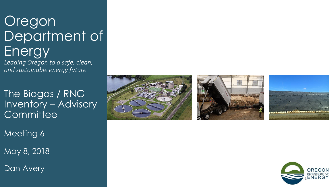# Oregon Department of Energy

*Leading Oregon to a safe, clean, and sustainable energy future*

The Biogas / RNG Inventory – Advisory **Committee** 

Meeting 6

May 8, 2018

Dan Avery







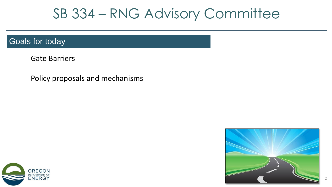## SB 334 – RNG Advisory Committee

#### Goals for today

Gate Barriers

Policy proposals and mechanisms



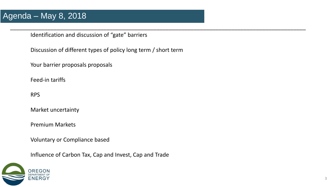Identification and discussion of "gate" barriers

Discussion of different types of policy long term / short term

\_\_\_\_\_\_\_\_\_\_\_\_\_\_\_\_\_\_\_\_\_\_\_\_\_\_\_\_\_\_\_\_\_\_\_\_\_\_\_\_\_\_\_\_\_\_\_\_\_\_\_\_\_\_\_\_\_\_\_\_\_\_\_\_\_\_\_\_\_\_\_\_\_\_\_\_\_\_\_\_\_\_\_\_\_\_\_\_\_\_\_\_\_\_\_

Your barrier proposals proposals

Feed-in tariffs

RPS **10/17 12/6/17 12/6/17** 

Market uncertainty

Premium Markets

Voluntary or Compliance based

Influence of Carbon Tax, Cap and Invest, Cap and Trade

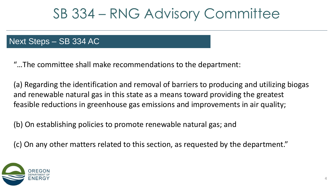## SB 334 – RNG Advisory Committee

### Next Steps – SB 334 AC

"…The committee shall make recommendations to the department:

(a) Regarding the identification and removal of barriers to producing and utilizing biogas and renewable natural gas in this state as a means toward providing the greatest feasible reductions in greenhouse gas emissions and improvements in air quality;

4

(b) On establishing policies to promote renewable natural gas; and

(c) On any other matters related to this section, as requested by the department."

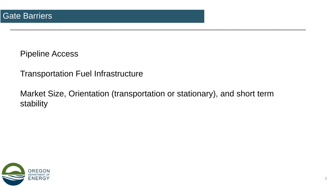Pipeline Access

Transportation Fuel Infrastructure

 $1$ Ket Size, Orientation (transportation or stationary), and short Market Size, Orientation (transportation or stationary), and short term stability

\_\_\_\_\_\_\_\_\_\_\_\_\_\_\_\_\_\_\_\_\_\_\_\_\_\_\_\_\_\_\_\_\_\_\_\_\_\_\_\_\_\_\_\_\_\_\_\_\_\_\_\_\_\_\_\_\_\_\_\_\_\_\_\_\_\_\_\_\_\_\_\_\_\_\_\_\_\_\_\_\_\_\_\_\_\_\_\_\_\_\_\_\_\_\_

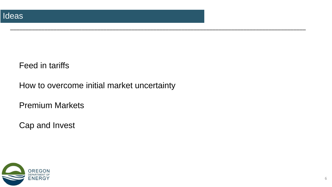### Feed in tariffs

How to overcome initial market uncertainty

\_\_\_\_\_\_\_\_\_\_\_\_\_\_\_\_\_\_\_\_\_\_\_\_\_\_\_\_\_\_\_\_\_\_\_\_\_\_\_\_\_\_\_\_\_\_\_\_\_\_\_\_\_\_\_\_\_\_\_\_\_\_\_\_\_\_\_\_\_\_\_\_\_\_\_\_\_\_\_\_\_\_\_\_\_\_\_\_\_\_\_\_\_\_\_

Premium Markets

Cap and Invest